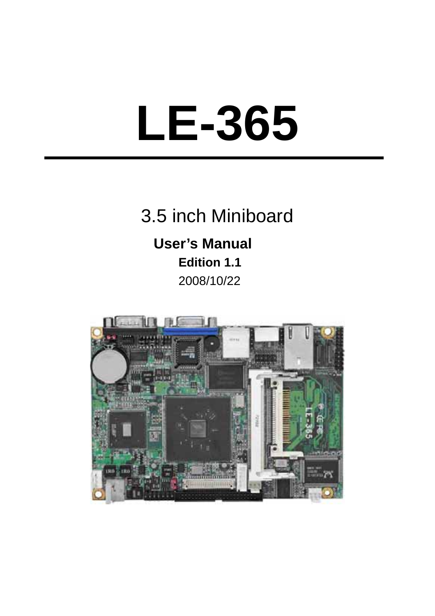# **LE-365**

## 3.5 inch Miniboard

**User's Manual Edition 1.1**  2008/10/22

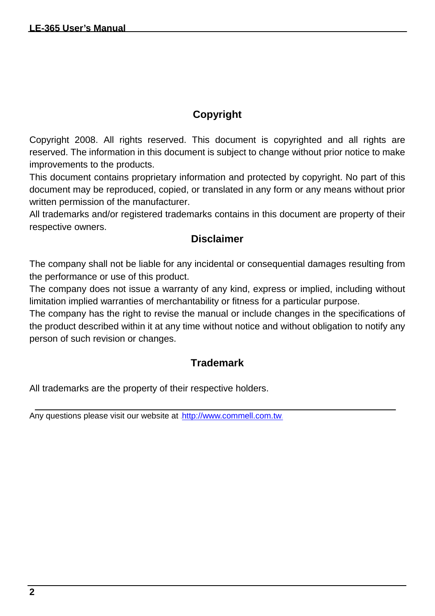#### **Copyright**

Copyright 2008. All rights reserved. This document is copyrighted and all rights are reserved. The information in this document is subject to change without prior notice to make improvements to the products.

This document contains proprietary information and protected by copyright. No part of this document may be reproduced, copied, or translated in any form or any means without prior written permission of the manufacturer.

All trademarks and/or registered trademarks contains in this document are property of their respective owners.

#### **Disclaimer**

The company shall not be liable for any incidental or consequential damages resulting from the performance or use of this product.

The company does not issue a warranty of any kind, express or implied, including without limitation implied warranties of merchantability or fitness for a particular purpose.

The company has the right to revise the manual or include changes in the specifications of the product described within it at any time without notice and without obligation to notify any person of such revision or changes.

#### **Trademark**

All trademarks are the property of their respective holders.

Any questions please visit our website at http://www.commell.com.tw.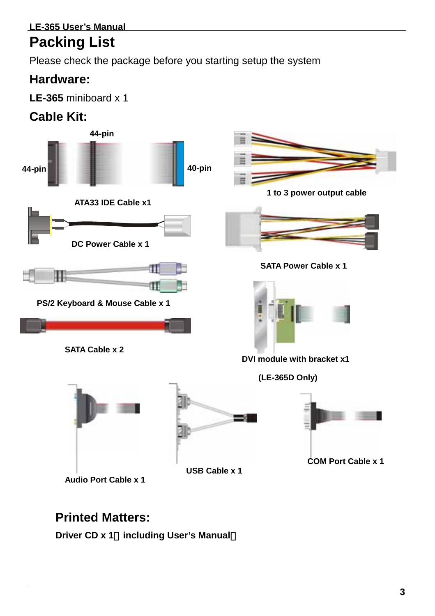#### **LE-365 User's Manual**

### **Packing List**

Please check the package before you starting setup the system

### **Hardware:**

**LE-365** miniboard x 1

### **Cable Kit:**



### **Printed Matters:**

**Driver CD x 1**(**including User's Manual**)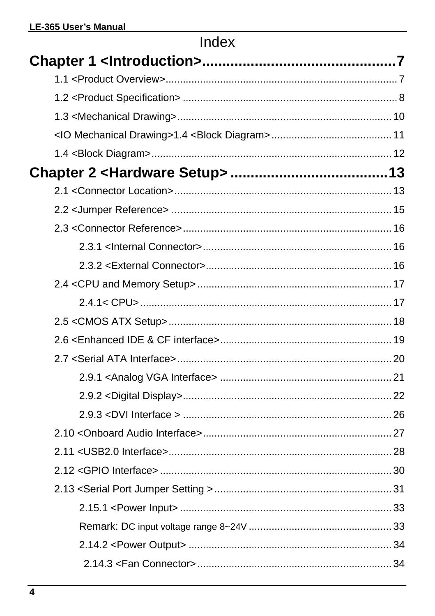### Index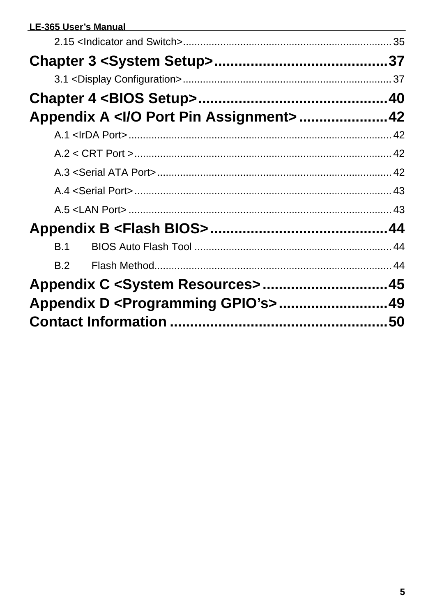|                | LE-365 User's Manual and Contact Contact Contact Contact Contact Contact Contact Contact Contact Contact Conta |  |
|----------------|----------------------------------------------------------------------------------------------------------------|--|
|                |                                                                                                                |  |
|                |                                                                                                                |  |
|                |                                                                                                                |  |
|                |                                                                                                                |  |
|                | Appendix A <i assignment="" o="" pin="" port="">42</i>                                                         |  |
|                |                                                                                                                |  |
|                |                                                                                                                |  |
|                |                                                                                                                |  |
|                |                                                                                                                |  |
|                |                                                                                                                |  |
|                |                                                                                                                |  |
| <b>B</b> 1     |                                                                                                                |  |
| B <sub>2</sub> |                                                                                                                |  |
|                | Appendix C <system resources="">45</system>                                                                    |  |
|                | Appendix D <programming gpio's="">49</programming>                                                             |  |
|                |                                                                                                                |  |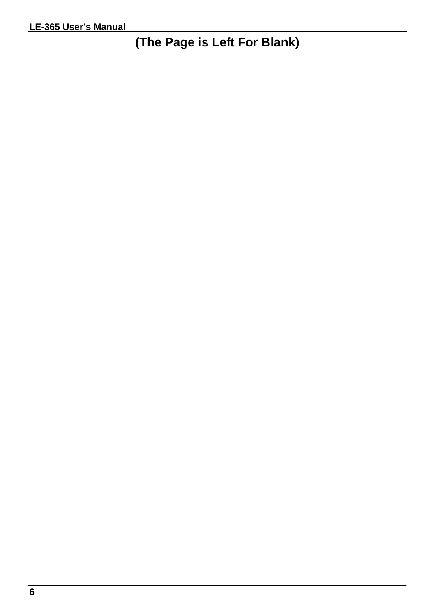### **(The Page is Left For Blank)**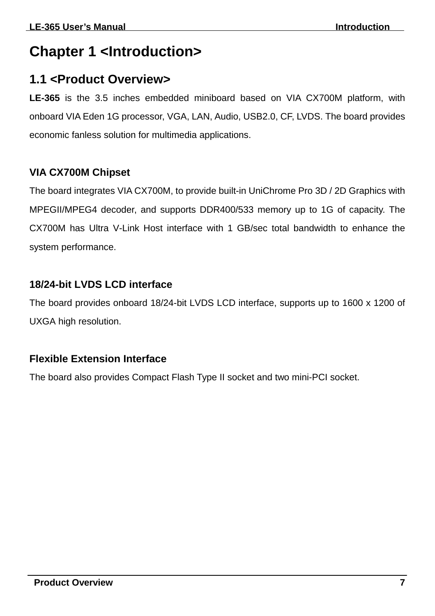### **Chapter 1 <Introduction>**

#### **1.1 <Product Overview>**

**LE-365** is the 3.5 inches embedded miniboard based on VIA CX700M platform, with onboard VIA Eden 1G processor, VGA, LAN, Audio, USB2.0, CF, LVDS. The board provides economic fanless solution for multimedia applications.

#### **VIA CX700M Chipset**

The board integrates VIA CX700M, to provide built-in UniChrome Pro 3D / 2D Graphics with MPEGII/MPEG4 decoder, and supports DDR400/533 memory up to 1G of capacity. The CX700M has Ultra V-Link Host interface with 1 GB/sec total bandwidth to enhance the system performance.

#### **18/24-bit LVDS LCD interface**

The board provides onboard 18/24-bit LVDS LCD interface, supports up to 1600 x 1200 of UXGA high resolution.

#### **Flexible Extension Interface**

The board also provides Compact Flash Type II socket and two mini-PCI socket.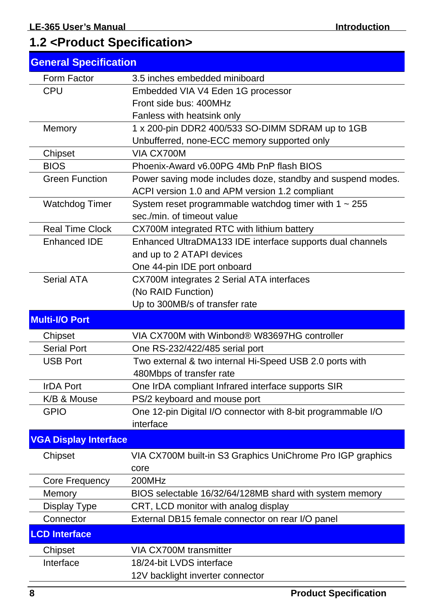### **1.2 <Product Specification>**

| <b>General Specification</b> |                                                              |  |
|------------------------------|--------------------------------------------------------------|--|
| Form Factor                  | 3.5 inches embedded miniboard                                |  |
| CPU                          | Embedded VIA V4 Eden 1G processor                            |  |
|                              | Front side bus: 400MHz                                       |  |
|                              | Fanless with heatsink only                                   |  |
| Memory                       | 1 x 200-pin DDR2 400/533 SO-DIMM SDRAM up to 1GB             |  |
|                              | Unbufferred, none-ECC memory supported only                  |  |
| Chipset                      | VIA CX700M                                                   |  |
| <b>BIOS</b>                  | Phoenix-Award v6.00PG 4Mb PnP flash BIOS                     |  |
| <b>Green Function</b>        | Power saving mode includes doze, standby and suspend modes.  |  |
|                              | ACPI version 1.0 and APM version 1.2 compliant               |  |
| Watchdog Timer               | System reset programmable watchdog timer with $1 \sim 255$   |  |
|                              | sec./min. of timeout value                                   |  |
| <b>Real Time Clock</b>       | CX700M integrated RTC with lithium battery                   |  |
| <b>Enhanced IDE</b>          | Enhanced UltraDMA133 IDE interface supports dual channels    |  |
|                              | and up to 2 ATAPI devices                                    |  |
|                              | One 44-pin IDE port onboard                                  |  |
| Serial ATA                   | CX700M integrates 2 Serial ATA interfaces                    |  |
|                              | (No RAID Function)                                           |  |
|                              | Up to 300MB/s of transfer rate                               |  |
| <b>Multi-I/O Port</b>        |                                                              |  |
| Chipset                      | VIA CX700M with Winbond® W83697HG controller                 |  |
| Serial Port                  | One RS-232/422/485 serial port                               |  |
| <b>USB Port</b>              | Two external & two internal Hi-Speed USB 2.0 ports with      |  |
|                              | 480Mbps of transfer rate                                     |  |
| <b>IrDA Port</b>             | One IrDA compliant Infrared interface supports SIR           |  |
| K/B & Mouse                  | PS/2 keyboard and mouse port                                 |  |
| <b>GPIO</b>                  | One 12-pin Digital I/O connector with 8-bit programmable I/O |  |
|                              | interface                                                    |  |
| <b>VGA Display Interface</b> |                                                              |  |
| Chipset                      | VIA CX700M built-in S3 Graphics UniChrome Pro IGP graphics   |  |
|                              | core                                                         |  |
| Core Frequency               | 200MHz                                                       |  |
| Memory                       | BIOS selectable 16/32/64/128MB shard with system memory      |  |
| Display Type                 | CRT, LCD monitor with analog display                         |  |
| Connector                    | External DB15 female connector on rear I/O panel             |  |
| <b>LCD Interface</b>         |                                                              |  |
| Chipset                      | VIA CX700M transmitter                                       |  |
| Interface                    | 18/24-bit LVDS interface                                     |  |
|                              | 12V backlight inverter connector                             |  |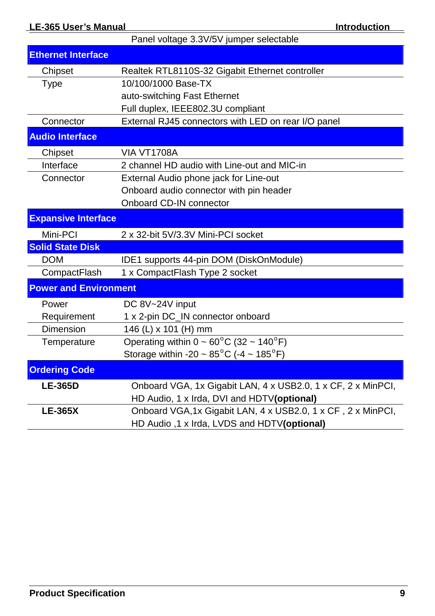|                              | Panel voltage 3.3V/5V jumper selectable                      |  |
|------------------------------|--------------------------------------------------------------|--|
| <b>Ethernet Interface</b>    |                                                              |  |
| Chipset                      | Realtek RTL8110S-32 Gigabit Ethernet controller              |  |
| <b>Type</b>                  | 10/100/1000 Base-TX                                          |  |
|                              | auto-switching Fast Ethernet                                 |  |
|                              | Full duplex, IEEE802.3U compliant                            |  |
| Connector                    | External RJ45 connectors with LED on rear I/O panel          |  |
| <b>Audio Interface</b>       |                                                              |  |
| Chipset                      | <b>VIA VT1708A</b>                                           |  |
| Interface                    | 2 channel HD audio with Line-out and MIC-in                  |  |
| Connector                    | External Audio phone jack for Line-out                       |  |
|                              | Onboard audio connector with pin header                      |  |
|                              | Onboard CD-IN connector                                      |  |
| <b>Expansive Interface</b>   |                                                              |  |
| Mini-PCI                     | 2 x 32-bit 5V/3.3V Mini-PCI socket                           |  |
| <b>Solid State Disk</b>      |                                                              |  |
| <b>DOM</b>                   | IDE1 supports 44-pin DOM (DiskOnModule)                      |  |
| CompactFlash                 | 1 x CompactFlash Type 2 socket                               |  |
| <b>Power and Environment</b> |                                                              |  |
| Power                        | DC 8V~24V input                                              |  |
| Requirement                  | 1 x 2-pin DC_IN connector onboard                            |  |
| Dimension                    | 146 (L) x 101 (H) mm                                         |  |
| Temperature                  | Operating within $0 \sim 60^{\circ}$ C (32 ~ 140°F)          |  |
|                              | Storage within -20 ~ $85^{\circ}$ C (-4 ~ 185°F)             |  |
| <b>Ordering Code</b>         |                                                              |  |
| <b>LE-365D</b>               | Onboard VGA, 1x Gigabit LAN, 4 x USB2.0, 1 x CF, 2 x MinPCI, |  |
|                              | HD Audio, 1 x Irda, DVI and HDTV(optional)                   |  |
| <b>LE-365X</b>               | Onboard VGA,1x Gigabit LAN, 4 x USB2.0, 1 x CF, 2 x MinPCI,  |  |
|                              | HD Audio ,1 x Irda, LVDS and HDTV(optional)                  |  |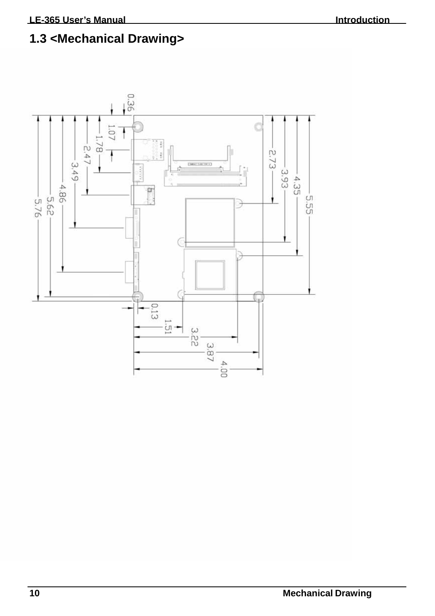### **1.3 <Mechanical Drawing>**

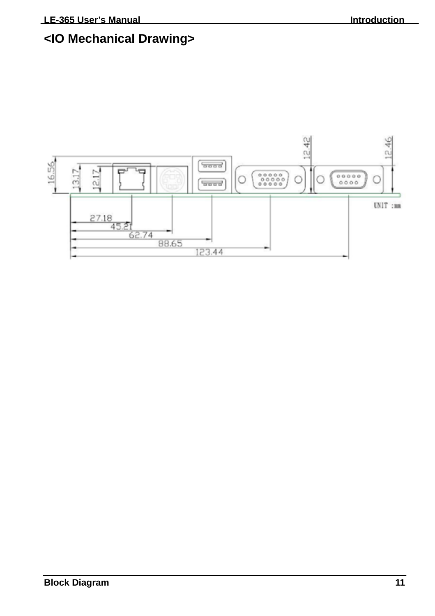### **<IO Mechanical Drawing>**

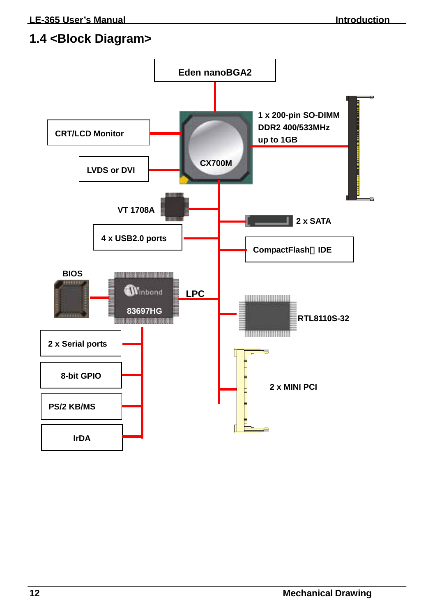### **1.4 <Block Diagram>**

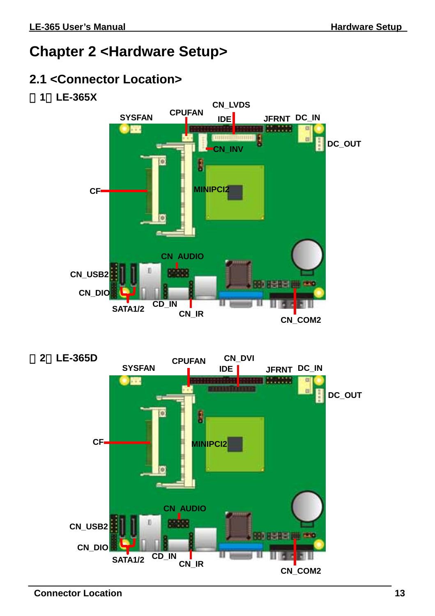### **Chapter 2 <Hardware Setup>**

### **2.1 <Connector Location>**

(**1**)**LE-365X** 



(**2**)**LE-365D CN\_DVI CPUFAN SYSFAN IDEJFRNT DC\_IN BORE DC\_OUT** B **CF MINIPCI2 CN AUDIO CN\_USB2 ABBE BILL 1990 CN\_DIO CD\_IN SATA1/2 CN\_IR CN\_COM2**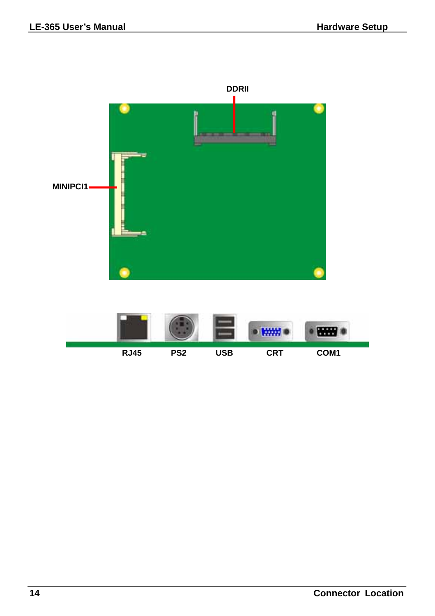

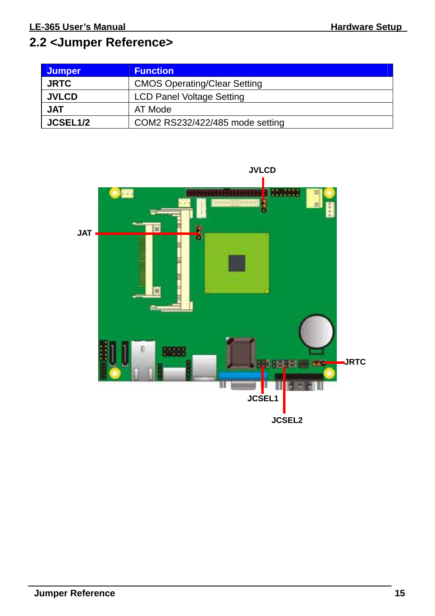### **2.2 <Jumper Reference>**

| <b>Jumper</b>   | <b>Function</b>                     |  |
|-----------------|-------------------------------------|--|
| <b>JRTC</b>     | <b>CMOS Operating/Clear Setting</b> |  |
| <b>JVLCD</b>    | <b>LCD Panel Voltage Setting</b>    |  |
| <b>JAT</b>      | AT Mode                             |  |
| <b>JCSEL1/2</b> | COM2 RS232/422/485 mode setting     |  |

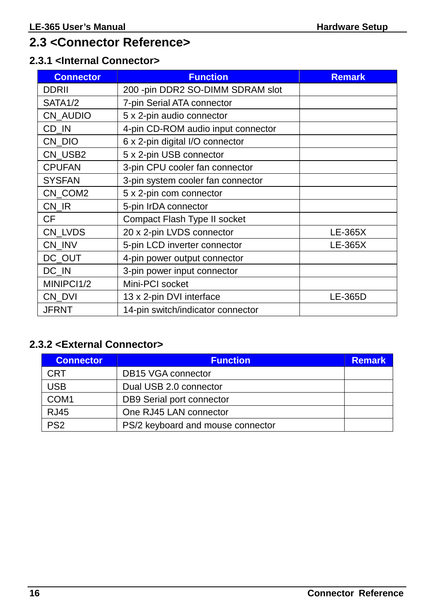### **2.3 <Connector Reference>**

#### **2.3.1 <Internal Connector>**

| <b>Connector</b>    | <b>Function</b><br><b>Remark</b>   |         |
|---------------------|------------------------------------|---------|
| <b>DDRII</b>        | 200 -pin DDR2 SO-DIMM SDRAM slot   |         |
| SATA <sub>1/2</sub> | 7-pin Serial ATA connector         |         |
| CN_AUDIO            | 5 x 2-pin audio connector          |         |
| CD_IN               | 4-pin CD-ROM audio input connector |         |
| CN DIO              | 6 x 2-pin digital I/O connector    |         |
| CN_USB2             | 5 x 2-pin USB connector            |         |
| <b>CPUFAN</b>       | 3-pin CPU cooler fan connector     |         |
| <b>SYSFAN</b>       | 3-pin system cooler fan connector  |         |
| CN_COM2             | 5 x 2-pin com connector            |         |
| CN IR               | 5-pin IrDA connector               |         |
| <b>CF</b>           | Compact Flash Type II socket       |         |
| CN_LVDS             | 20 x 2-pin LVDS connector          | LE-365X |
| CN_INV              | 5-pin LCD inverter connector       | LE-365X |
| DC_OUT              | 4-pin power output connector       |         |
| DC_IN               | 3-pin power input connector        |         |
| MINIPCI1/2          | Mini-PCI socket                    |         |
| CN_DVI              | 13 x 2-pin DVI interface           | LE-365D |
| <b>JFRNT</b>        | 14-pin switch/indicator connector  |         |

#### **2.3.2 <External Connector>**

| <b>Connector</b> | <b>Function</b><br>Remark         |  |  |
|------------------|-----------------------------------|--|--|
| CRT              | DB15 VGA connector                |  |  |
| <b>USB</b>       | Dual USB 2.0 connector            |  |  |
| COM1             | DB9 Serial port connector         |  |  |
| <b>RJ45</b>      | One RJ45 LAN connector            |  |  |
| PS <sub>2</sub>  | PS/2 keyboard and mouse connector |  |  |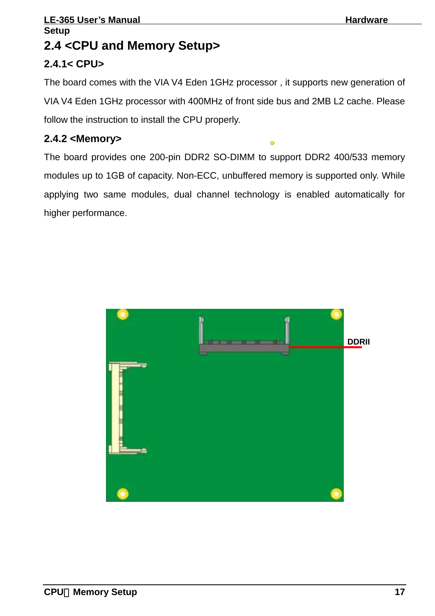#### **LE-365 User's Manual Hardware Communist Structure Advantage of the US Analysis Communist Communist Communist Communist Communist Communist Communist Communist Communist Communist Communist Communist Communist Communist Co Setup 2.4 <CPU and Memory Setup>**

#### **2.4.1< CPU>**

The board comes with the VIA V4 Eden 1GHz processor , it supports new generation of VIA V4 Eden 1GHz processor with 400MHz of front side bus and 2MB L2 cache. Please follow the instruction to install the CPU properly.

#### **2.4.2 <Memory>**

The board provides one 200-pin DDR2 SO-DIMM to support DDR2 400/533 memory modules up to 1GB of capacity. Non-ECC, unbuffered memory is supported only. While applying two same modules, dual channel technology is enabled automatically for higher performance.

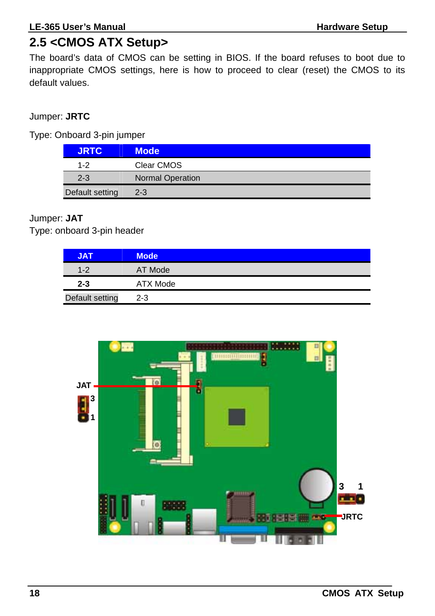### **2.5 <CMOS ATX Setup>**

The board's data of CMOS can be setting in BIOS. If the board refuses to boot due to inappropriate CMOS settings, here is how to proceed to clear (reset) the CMOS to its default values.

Jumper: **JRTC** 

Type: Onboard 3-pin jumper

| <b>JRTC</b>     | <b>Mode</b>             |
|-----------------|-------------------------|
| 1-2             | Clear CMOS              |
| $2 - 3$         | <b>Normal Operation</b> |
| Default setting | $2 - 3$                 |

#### Jumper: **JAT**

Type: onboard 3-pin header

| <b>JAT</b>      | <b>Mode</b> |
|-----------------|-------------|
| $1 - 2$         | AT Mode     |
| $2 - 3$         | ATX Mode    |
| Default setting | $2 - 3$     |

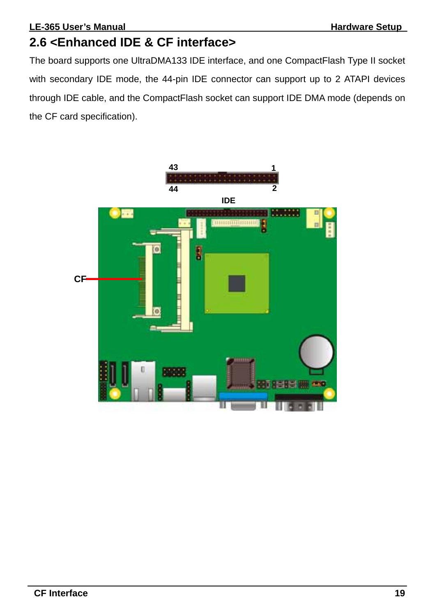#### **LE-365 User's Manual Hardware Setup 1986**

### **2.6 <Enhanced IDE & CF interface>**

The board supports one UltraDMA133 IDE interface, and one CompactFlash Type II socket with secondary IDE mode, the 44-pin IDE connector can support up to 2 ATAPI devices through IDE cable, and the CompactFlash socket can support IDE DMA mode (depends on the CF card specification).

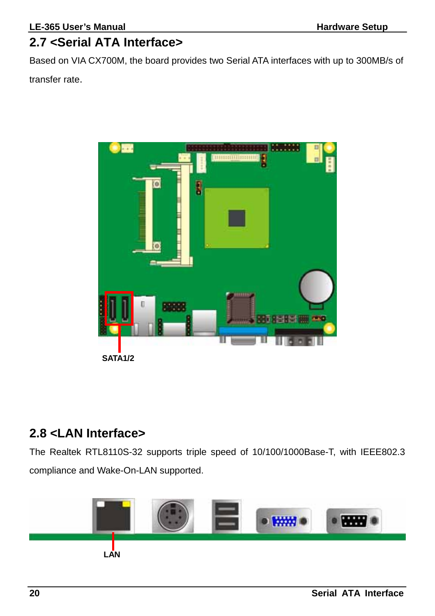### **2.7 <Serial ATA Interface>**

Based on VIA CX700M, the board provides two Serial ATA interfaces with up to 300MB/s of transfer rate.



### **2.8 <LAN Interface>**

The Realtek RTL8110S-32 supports triple speed of 10/100/1000Base-T, with IEEE802.3 compliance and Wake-On-LAN supported.

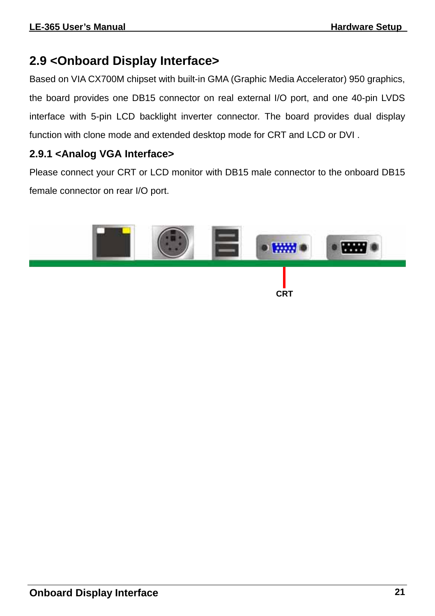### **2.9 <Onboard Display Interface>**

Based on VIA CX700M chipset with built-in GMA (Graphic Media Accelerator) 950 graphics, the board provides one DB15 connector on real external I/O port, and one 40-pin LVDS interface with 5-pin LCD backlight inverter connector. The board provides dual display function with clone mode and extended desktop mode for CRT and LCD or DVI .

#### **2.9.1 <Analog VGA Interface>**

Please connect your CRT or LCD monitor with DB15 male connector to the onboard DB15 female connector on rear I/O port.

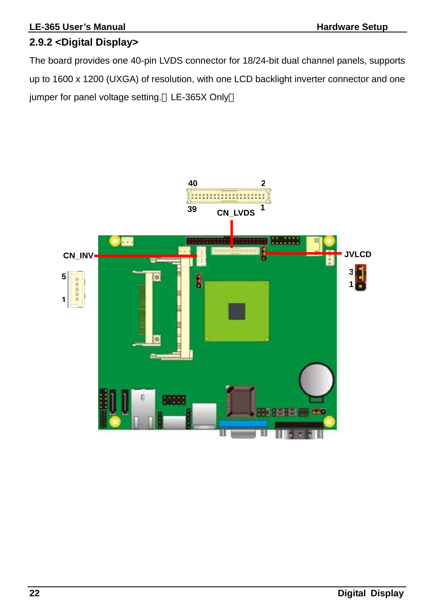#### **2.9.2 <Digital Display>**

The board provides one 40-pin LVDS connector for 18/24-bit dual channel panels, supports up to 1600 x 1200 (UXGA) of resolution, with one LCD backlight inverter connector and one jumper for panel voltage setting. LE-365X Only

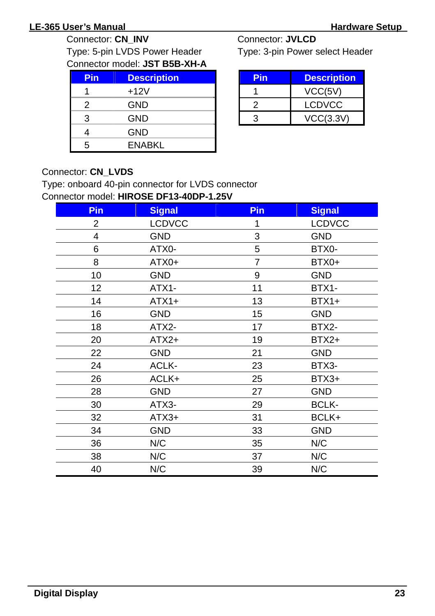#### **LE-365 User's Manual Hardware Setup 1986 Contract Authority Contract Authority Contract Authority Contract Authority Contract Authority Contract Authority Contract Authority Contract Authority Contract Authority Contract**

Type: 5-pin LVDS Power Header Type: 3-pin Power select Header Connector model: **JST B5B-XH-A**

| <b>Pin</b> | <b>Description</b> | Pin | <b>Description</b> |
|------------|--------------------|-----|--------------------|
|            | $+12V$             |     | VCC(5V)            |
| っ          | <b>GND</b>         |     | <b>LCDVCC</b>      |
| 3          | <b>GND</b>         | ລ   | VCC(3.3V)          |
|            | <b>GND</b>         |     |                    |
| 5          | <b>ENABKL</b>      |     |                    |

#### Connector: **CN\_LVDS**

Type: onboard 40-pin connector for LVDS connector Connector model: **HIROSE DF13-40DP-1.25V**

| <b>Pin</b> | <b>Signal</b> | <b>Pin</b> | <b>Signal</b> |  |
|------------|---------------|------------|---------------|--|
| 2          | <b>LCDVCC</b> | 1          | <b>LCDVCC</b> |  |
| 4          | <b>GND</b>    | 3          | <b>GND</b>    |  |
| 6          | ATX0-         | 5          | BTX0-         |  |
| 8          | $ATX0+$       | 7          | BTX0+         |  |
| 10         | <b>GND</b>    | 9          | <b>GND</b>    |  |
| 12         | $ATX1-$       | 11         | BTX1-         |  |
| 14         | $ATX1+$       | 13         | $BTX1+$       |  |
| 16         | <b>GND</b>    | 15         | <b>GND</b>    |  |
| 18         | ATX2-         | 17         | BTX2-         |  |
| 20         | $ATX2+$       | 19         | $BTX2+$       |  |
| 22         | <b>GND</b>    | 21         | <b>GND</b>    |  |
| 24         | ACLK-         | 23         | BTX3-         |  |
| 26         | ACLK+         | 25         | BTX3+         |  |
| 28         | <b>GND</b>    | 27         | <b>GND</b>    |  |
| 30         | ATX3-         | 29         | BCLK-         |  |
| 32         | $ATX3+$       | 31         | BCLK+         |  |
| 34         | <b>GND</b>    | 33         | <b>GND</b>    |  |
| 36         | N/C           | 35         | N/C           |  |
| 38         | N/C           | 37         | N/C           |  |
| 40         | N/C           | 39         | N/C           |  |

### Connector: **CN\_INV** Connector: **JVLCD**

| Pin. | <b>Description</b> |
|------|--------------------|
|      | VCC(5V)            |
| ン    | LCDVCC             |
|      | VCC(3.3V)          |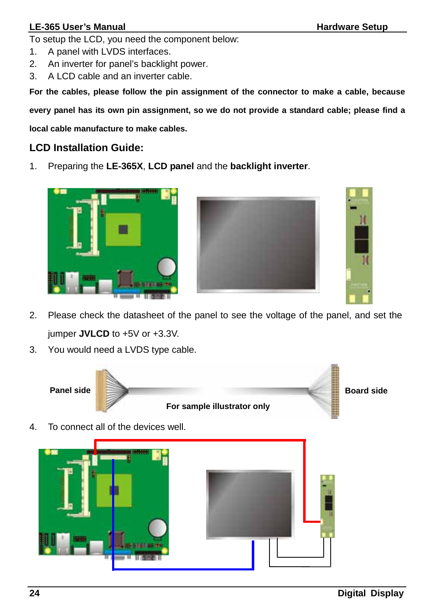#### **LE-365 User's Manual Community Community Community Community Community Community Community Community Community**

To setup the LCD, you need the component below:

- 1. A panel with LVDS interfaces.
- 2. An inverter for panel's backlight power.
- 3. A LCD cable and an inverter cable.

**For the cables, please follow the pin assignment of the connector to make a cable, because** 

**every panel has its own pin assignment, so we do not provide a standard cable; please find a** 

**local cable manufacture to make cables.** 

#### **LCD Installation Guide:**

1. Preparing the **LE-365X**, **LCD panel** and the **backlight inverter**.





|   | ÷ |  |
|---|---|--|
|   |   |  |
|   |   |  |
|   |   |  |
|   |   |  |
|   |   |  |
|   |   |  |
| l |   |  |
|   |   |  |
|   |   |  |

- 2. Please check the datasheet of the panel to see the voltage of the panel, and set the jumper **JVLCD** to +5V or +3.3V.
- 3. You would need a LVDS type cable.



4. To connect all of the devices well.

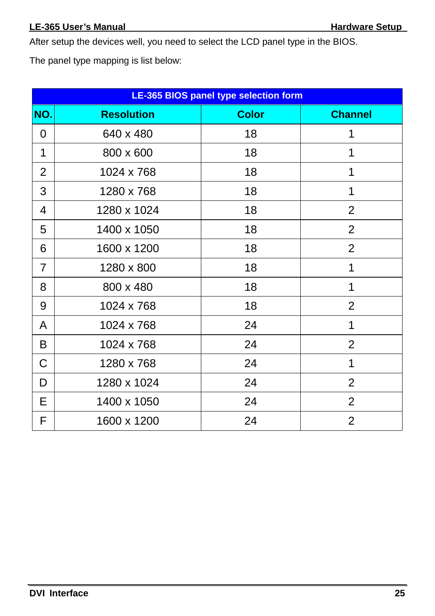#### **LE-365 User's Manual Hardware Setup 1986**

After setup the devices well, you need to select the LCD panel type in the BIOS.

The panel type mapping is list below:

| <b>LE-365 BIOS panel type selection form</b> |                   |              |                |  |
|----------------------------------------------|-------------------|--------------|----------------|--|
| NO.                                          | <b>Resolution</b> | <b>Color</b> | <b>Channel</b> |  |
| 0                                            | 640 x 480         | 18           | 1              |  |
| 1                                            | 800 x 600         | 18           | 1              |  |
| 2                                            | 1024 x 768        | 18           | 1              |  |
| 3                                            | 1280 x 768        | 18           | 1              |  |
| 4                                            | 1280 x 1024       | 18           | $\overline{2}$ |  |
| 5                                            | 1400 x 1050       | 18           | $\overline{2}$ |  |
| 6                                            | 1600 x 1200       | 18           | $\overline{2}$ |  |
| $\overline{7}$                               | 1280 x 800        | 18           | 1              |  |
| 8                                            | 800 x 480         | 18           | 1              |  |
| 9                                            | 1024 x 768        | 18           | $\overline{2}$ |  |
| A                                            | 1024 x 768        | 24           | 1              |  |
| B                                            | 1024 x 768        | 24           | $\overline{2}$ |  |
| $\mathsf C$                                  | 1280 x 768        | 24           | 1              |  |
| D                                            | 1280 x 1024       | 24           | $\overline{2}$ |  |
| Е                                            | 1400 x 1050       | 24           | $\overline{2}$ |  |
| F                                            | 1600 x 1200       | 24           | $\overline{2}$ |  |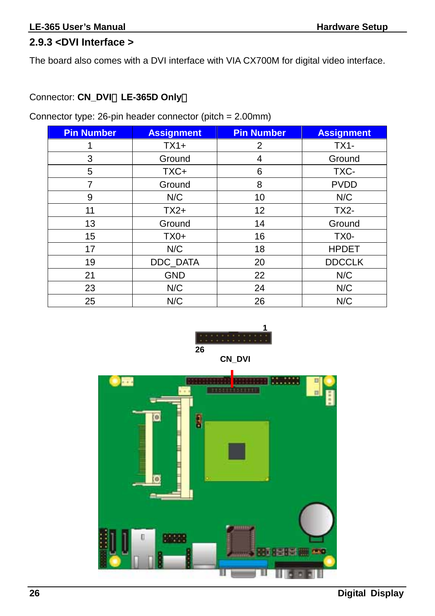#### **2.9.3 <DVI Interface >**

The board also comes with a DVI interface with VIA CX700M for digital video interface.

#### Connector: **CN\_DVI** LE-365D Only

Connector type: 26-pin header connector (pitch = 2.00mm)

| <b>Pin Number</b> | <b>Assignment</b> | <b>Pin Number</b> | <b>Assignment</b> |
|-------------------|-------------------|-------------------|-------------------|
| 1                 | $TX1+$<br>2       |                   | $TX1-$            |
| 3                 | Ground            | 4                 | Ground            |
| 5                 | TXC+              | 6                 | TXC-              |
| 7                 | Ground            | 8                 | <b>PVDD</b>       |
| 9                 | N/C               | 10                | N/C               |
| 11                | $TX2+$            | 12                | $TX2-$            |
| 13                | Ground            | 14                | Ground            |
| 15                | $TX0+$            | 16                | TX0-              |
| 17                | N/C               | 18                | <b>HPDET</b>      |
| 19                | DDC_DATA          | 20                | <b>DDCCLK</b>     |
| 21                | <b>GND</b>        | 22                | N/C               |
| 23                | N/C               | 24                | N/C               |
| 25                | N/C               | 26                | N/C               |

**1**

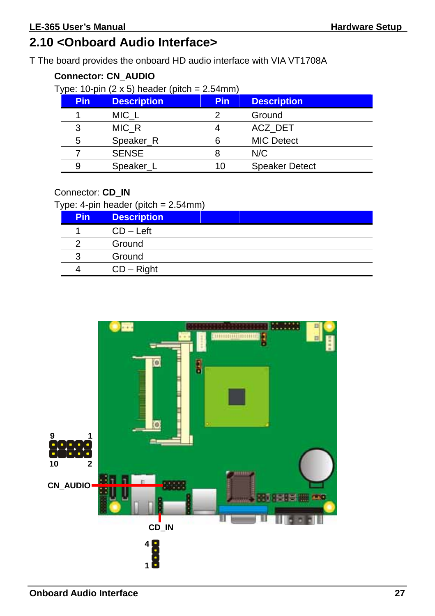### **2.10 <Onboard Audio Interface>**

T The board provides the onboard HD audio interface with VIA VT1708A

#### **Connector: CN\_AUDIO**

|            | Type: 10-pin $(2 \times 5)$ header (pitch = 2.54mm) |            |                       |
|------------|-----------------------------------------------------|------------|-----------------------|
| <b>Pin</b> | <b>Description</b>                                  | <b>Pin</b> | <b>Description</b>    |
|            | MIC L                                               |            | Ground                |
| 3          | MIC R                                               |            | ACZ DET               |
| 5          | Speaker_R                                           | 6          | <b>MIC Detect</b>     |
|            | <b>SENSE</b>                                        | 8          | N/C                   |
| 9          | Speaker L                                           | 10         | <b>Speaker Detect</b> |
|            |                                                     |            |                       |

#### Connector: **CD\_IN**

Type: 4-pin header (pitch  $= 2.54$ mm)

| <b>Pin</b> | <b>Description</b> |
|------------|--------------------|
|            | $CD - Left$        |
|            | Ground             |
|            | Ground             |
|            | $CD - Right$       |

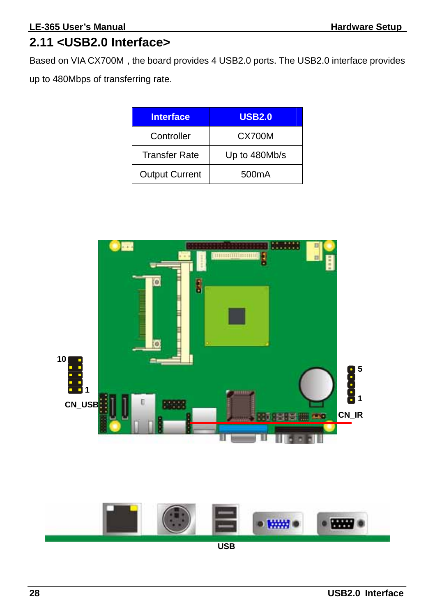### **2.11 <USB2.0 Interface>**

Based on VIA CX700M , the board provides 4 USB2.0 ports. The USB2.0 interface provides up to 480Mbps of transferring rate.

| <b>Interface</b>      | <b>USB2.0</b>      |
|-----------------------|--------------------|
| Controller            | CX700M             |
| <b>Transfer Rate</b>  | Up to 480Mb/s      |
| <b>Output Current</b> | 500 <sub>m</sub> A |

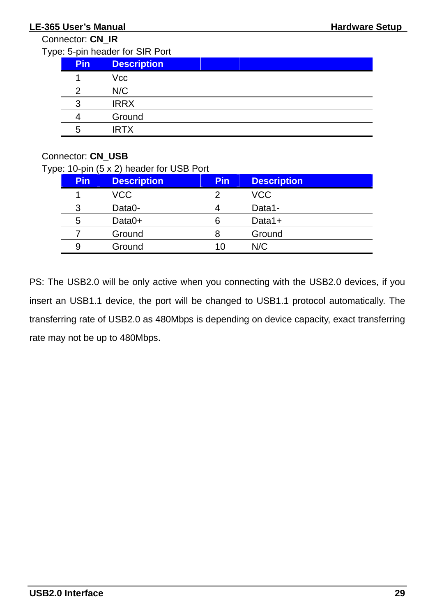#### **LE-365 User's Manual Hardware Setup**

Connector: **CN\_IR**

Type: 5-pin header for SIR Port

| Pin | <b>Description</b> |
|-----|--------------------|
|     | Vcc                |
|     | N/C                |
| 3   | <b>IRRX</b>        |
|     | Ground             |
|     | <b>IRTX</b>        |

#### Connector: **CN\_USB**

Type: 10-pin (5 x 2) header for USB Port

| <b>Pin</b>                                                           | <b>Description</b> |
|----------------------------------------------------------------------|--------------------|
|                                                                      | VCC                |
|                                                                      | Data1-             |
|                                                                      | Data $1+$          |
|                                                                      | Ground             |
| 10                                                                   | N/C                |
| <b>Description</b><br>VCC<br>Data0-<br>Data $0+$<br>Ground<br>Ground |                    |

PS: The USB2.0 will be only active when you connecting with the USB2.0 devices, if you insert an USB1.1 device, the port will be changed to USB1.1 protocol automatically. The transferring rate of USB2.0 as 480Mbps is depending on device capacity, exact transferring rate may not be up to 480Mbps.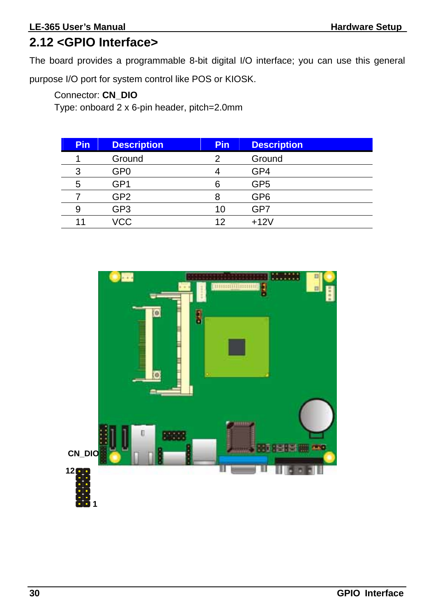### **2.12 <GPIO Interface>**

The board provides a programmable 8-bit digital I/O interface; you can use this general

purpose I/O port for system control like POS or KIOSK.

#### Connector: **CN\_DIO**

Type: onboard 2 x 6-pin header, pitch=2.0mm

| <b>Pin</b> | <b>Description</b> | <b>Pin</b>        | <b>Description</b> |
|------------|--------------------|-------------------|--------------------|
|            | Ground             | 2                 | Ground             |
| 3          | GP <sub>0</sub>    |                   | GP4                |
| 5          | GP <sub>1</sub>    | 6                 | GP <sub>5</sub>    |
|            | GP <sub>2</sub>    | 8                 | GP <sub>6</sub>    |
| 9          | GP <sub>3</sub>    | 10                | GP7                |
| 11         | VCC                | $12 \overline{ }$ | $+12V$             |

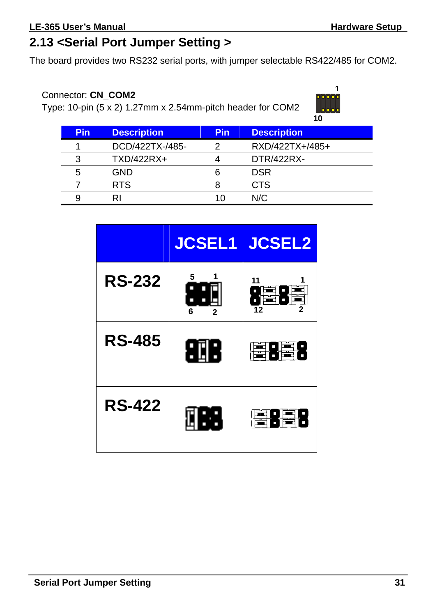### **2.13 <Serial Port Jumper Setting >**

The board provides two RS232 serial ports, with jumper selectable RS422/485 for COM2.

#### Connector: **CN\_COM2**

Type: 10-pin (5 x 2) 1.27mm x 2.54mm-pitch header for COM2

|            |                    |            | _____<br>10        |
|------------|--------------------|------------|--------------------|
| <b>Pin</b> | <b>Description</b> | <b>Pin</b> | <b>Description</b> |
|            | DCD/422TX-/485-    | າ          | RXD/422TX+/485+    |
| 3          | TXD/422RX+         |            | DTR/422RX-         |
| 5          | GND                |            | DSR                |
|            | <b>RTS</b>         |            | <b>CTS</b>         |
|            | R                  | 10         | N/C                |

|               | <b>JCSEL1</b>            | <b>JCSEL2</b> |
|---------------|--------------------------|---------------|
| <b>RS-232</b> | $\blacksquare$<br>6<br>2 | 11<br>12      |
| <b>RS-485</b> | H<br>$\blacklozenge$     |               |
| <b>RS-422</b> | м                        |               |

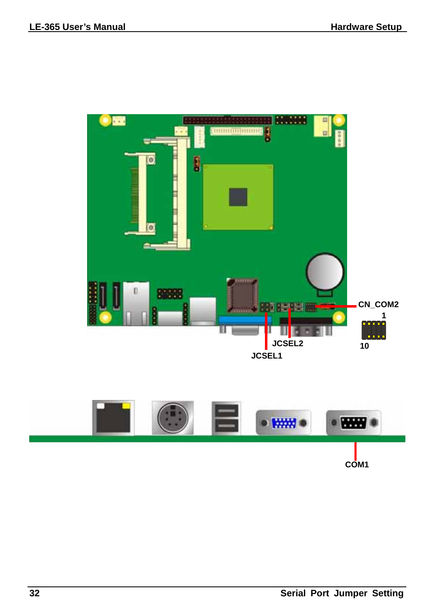

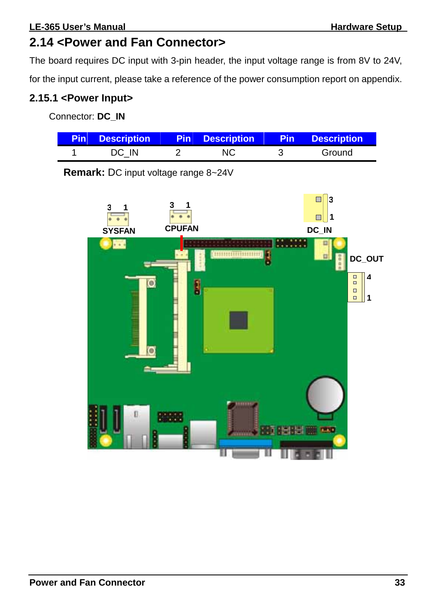### **2.14 <Power and Fan Connector>**

The board requires DC input with 3-pin header, the input voltage range is from 8V to 24V, for the input current, please take a reference of the power consumption report on appendix.

#### **2.15.1 <Power Input>**

Connector: **DC\_IN** 

| <b>Pin</b> Description | <b>Pin Description</b> | <b>Pin</b> Description |
|------------------------|------------------------|------------------------|
| DC IN                  | NC.                    | Ground                 |

 **Remark:** DC input voltage range 8~24V

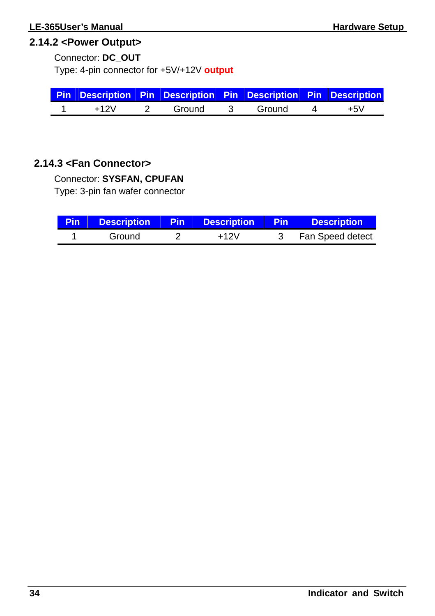#### **2.14.2 <Power Output>**

Connector: **DC\_OUT** 

Type: 4-pin connector for +5V/+12V **output**

| Pin Description Pin Description Pin Description Pin Description |        |        |       |
|-----------------------------------------------------------------|--------|--------|-------|
| $+12V$                                                          | Ground | Ground | $+5V$ |

#### **2.14.3 <Fan Connector>**

Connector: **SYSFAN, CPUFAN**

Type: 3-pin fan wafer connector

| Pin Description |        | <b>Pin Description Pin Description</b> |
|-----------------|--------|----------------------------------------|
| Ground          | $+12V$ | Fan Speed detect                       |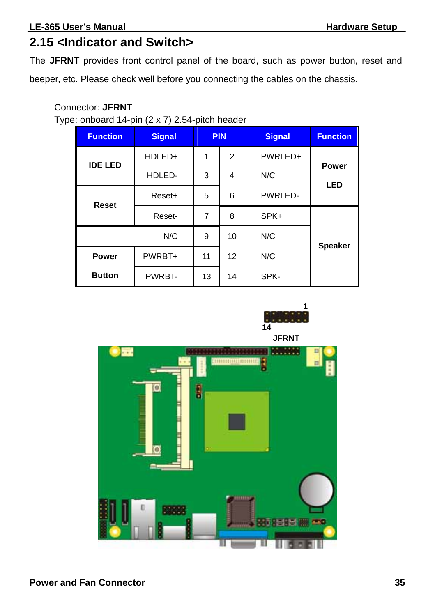### **2.15 <Indicator and Switch>**

The **JFRNT** provides front control panel of the board, such as power button, reset and beeper, etc. Please check well before you connecting the cables on the chassis.

#### Connector: **JFRNT**

Type: onboard 14-pin (2 x 7) 2.54-pitch header

| <b>Function</b> | <b>Signal</b> | <b>PIN</b> |    | <b>Signal</b> | <b>Function</b> |
|-----------------|---------------|------------|----|---------------|-----------------|
| <b>IDE LED</b>  | HDLED+        | 1          | 2  | PWRLED+       | Power           |
|                 | HDLED-        | 3          | 4  | N/C           | LED             |
| Reset           | $Reset+$      | 5          | 6  | PWRLED-       |                 |
|                 | Reset-        | 7          | 8  | $SPK+$        |                 |
|                 | N/C           | 9          | 10 | N/C           | <b>Speaker</b>  |
| <b>Power</b>    | PWRBT+        | 11         | 12 | N/C           |                 |
|                 |               |            |    |               |                 |



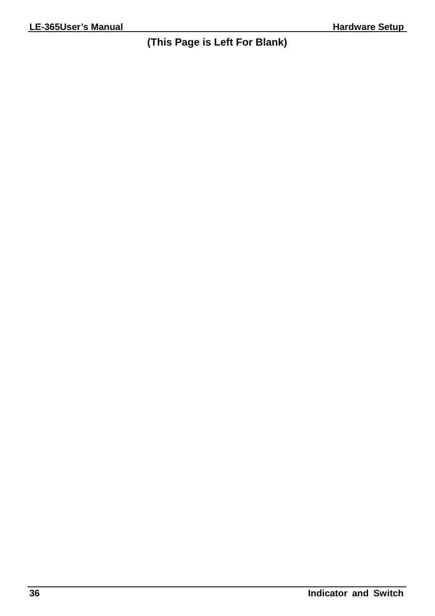### **(This Page is Left For Blank)**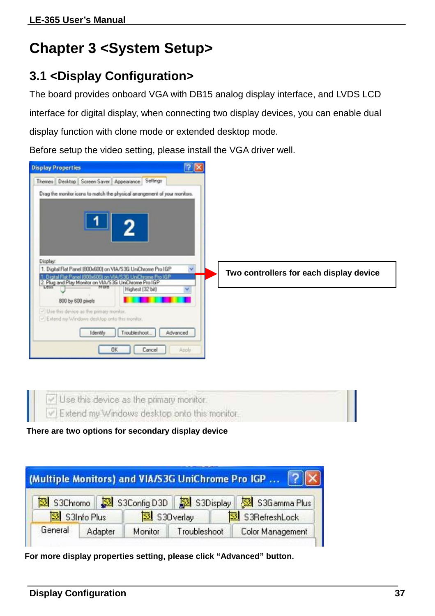### **Chapter 3 <System Setup>**

### **3.1 <Display Configuration>**

The board provides onboard VGA with DB15 analog display interface, and LVDS LCD

interface for digital display, when connecting two display devices, you can enable dual

display function with clone mode or extended desktop mode.

Before setup the video setting, please install the VGA driver well.

| <b>Display Properties</b>                                                                                         |                  |          |                                         |
|-------------------------------------------------------------------------------------------------------------------|------------------|----------|-----------------------------------------|
| Themes Desktop Screen Saver Appearance                                                                            | Selfings         |          |                                         |
| Drag the monitor icons to match the physical arrangement of your monitors.                                        |                  |          |                                         |
| 1                                                                                                                 |                  |          |                                         |
| Display:                                                                                                          |                  |          |                                         |
| 1. Digital Flat Panel (800x600) on VIA/S3G UniChrome Pro IGP<br>Flat Panel (800x600) on VIA/S3G UniChrome Pro IGP |                  |          | Two controllers for each display device |
| 2. Plug and Play Monitor on VIA/S3G UniChrome Pro IGP                                                             | Highest [32 bit] |          |                                         |
| 800 by 600 pixels                                                                                                 |                  |          |                                         |
| - Use this device as the primary monitor.<br>[v] Extend my Windows desktop onto this monitor.                     |                  |          |                                         |
| Identify                                                                                                          | Troubleshoot     | Advanced |                                         |
|                                                                                                                   |                  |          |                                         |

V Use this device as the primary monitor. v Extend my Windows desktop onto this monitor.

#### **There are two options for secondary display device**



**For more display properties setting, please click "Advanced" button.**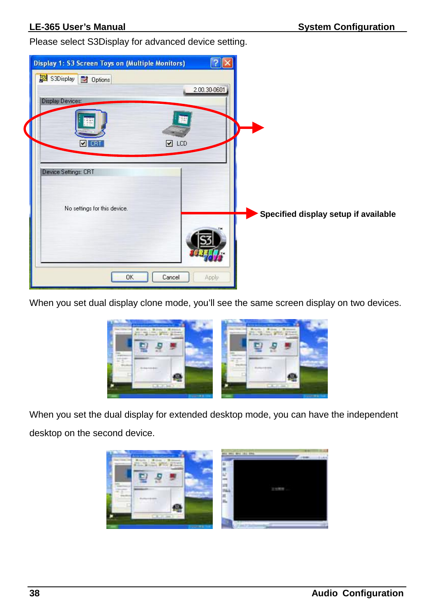Please select S3Display for advanced device setting.

| $\boxed{?}$<br><b>Display 1: S3 Screen Toys on (Multiple Monitors)</b> |                                      |
|------------------------------------------------------------------------|--------------------------------------|
| S3Display 7 Options                                                    |                                      |
| 2.00.30-0601<br>Display Devices:                                       |                                      |
| 翻                                                                      |                                      |
|                                                                        |                                      |
| $\nabla$ CRT<br>$\n  LCD\n$                                            |                                      |
| Device Settings: CRT                                                   |                                      |
| No settings for this device.                                           |                                      |
|                                                                        | Specified display setup if available |
| OK<br>Cancel<br>Apply                                                  |                                      |

When you set dual display clone mode, you'll see the same screen display on two devices.



When you set the dual display for extended desktop mode, you can have the independent desktop on the second device.

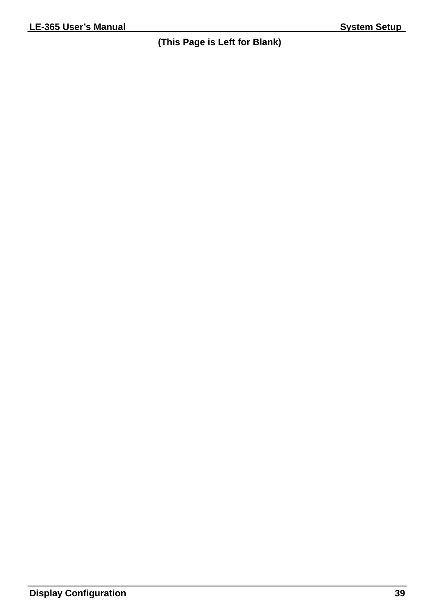#### **(This Page is Left for Blank)**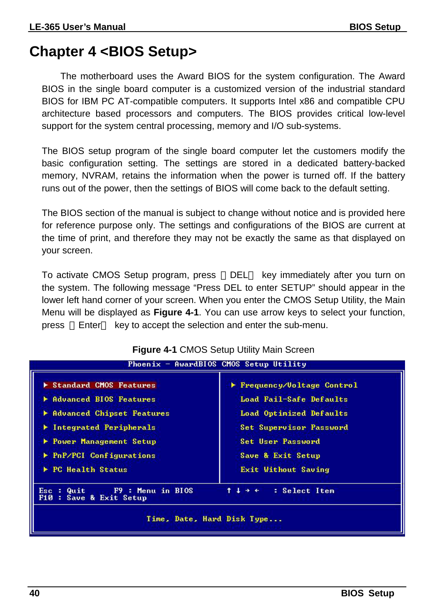### **Chapter 4 <BIOS Setup>**

The motherboard uses the Award BIOS for the system configuration. The Award BIOS in the single board computer is a customized version of the industrial standard BIOS for IBM PC AT-compatible computers. It supports Intel x86 and compatible CPU architecture based processors and computers. The BIOS provides critical low-level support for the system central processing, memory and I/O sub-systems.

The BIOS setup program of the single board computer let the customers modify the basic configuration setting. The settings are stored in a dedicated battery-backed memory, NVRAM, retains the information when the power is turned off. If the battery runs out of the power, then the settings of BIOS will come back to the default setting.

The BIOS section of the manual is subject to change without notice and is provided here for reference purpose only. The settings and configurations of the BIOS are current at the time of print, and therefore they may not be exactly the same as that displayed on your screen.

To activate CMOS Setup program, press DEL key immediately after you turn on the system. The following message "Press DEL to enter SETUP" should appear in the lower left hand corner of your screen. When you enter the CMOS Setup Utility, the Main Menu will be displayed as **Figure 4-1**. You can use arrow keys to select your function, press Enter key to accept the selection and enter the sub-menu.

| Phoenix - AwardBIOS CMOS Setup Utility                                                                                                                                                                    |                                                                                                                                                                                             |  |  |  |  |  |
|-----------------------------------------------------------------------------------------------------------------------------------------------------------------------------------------------------------|---------------------------------------------------------------------------------------------------------------------------------------------------------------------------------------------|--|--|--|--|--|
| Standard CMOS Features<br>Advanced BIOS Features<br>Advanced Chipset Features<br>$\blacktriangleright$ Integrated Peripherals<br>Power Management Setup<br>▶ PnP/PCI Configurations<br>▶ PC Health Status | ▶ Frequency/Uoltage Control<br>Load Fail-Safe Defaults<br>Load Optimized Defaults<br>Set Supervisor Password<br><b>Set User Password</b><br>Save & Exit Setup<br><b>Exit Without Saving</b> |  |  |  |  |  |
| F9: Menu in BIOS<br>$Esc \div$<br>Quit<br>F10 : Save & Exit Setup                                                                                                                                         | : Select Item<br>$1 + \epsilon$<br>Time, Date, Hard Disk Type                                                                                                                               |  |  |  |  |  |

### **Figure 4-1** CMOS Setup Utility Main Screen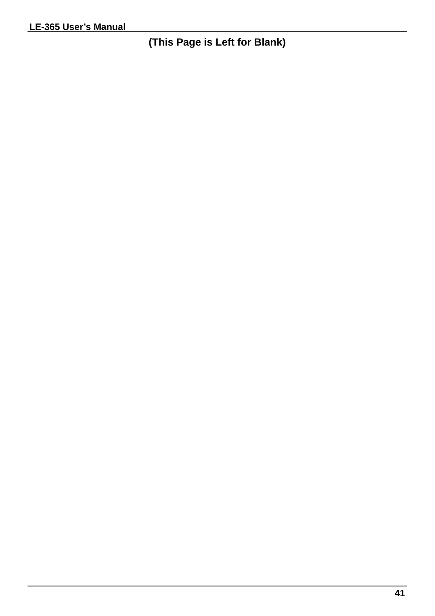### **(This Page is Left for Blank)**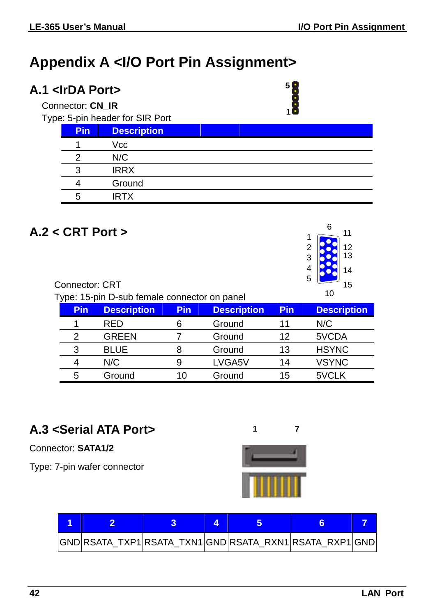### **Appendix A <I/O Port Pin Assignment>**

| A.1 <irda port=""><br/>Connector: CN_IR<br/>Type: 5-pin header for SIR Port</irda> |            |                    | 5 |  |  |
|------------------------------------------------------------------------------------|------------|--------------------|---|--|--|
|                                                                                    | <b>Pin</b> | <b>Description</b> |   |  |  |
|                                                                                    |            | Vcc                |   |  |  |
|                                                                                    | 2          | N/C                |   |  |  |
|                                                                                    | 3          | <b>IRRX</b>        |   |  |  |
|                                                                                    |            | Ground             |   |  |  |
|                                                                                    | 5          | <b>IRTX</b>        |   |  |  |
|                                                                                    |            |                    |   |  |  |

### **A.2 < CRT Port >**

|   | 6      |                |
|---|--------|----------------|
|   |        | 11             |
| 2 |        | 12             |
| 3 |        | 13             |
|   |        | $\overline{4}$ |
| 5 |        |                |
|   |        | 15             |
|   | 1<br>D |                |

Connector: CRT

Type: 15-pin D-sub female connector on panel

| $\sim$ 1<br>Pin | <b>Description</b> | <b>Pin</b> | <b>Description</b> | Pin | <b>Description</b> |
|-----------------|--------------------|------------|--------------------|-----|--------------------|
|                 | <b>RED</b>         | 6          | Ground             | 11  | N/C                |
| 2               | <b>GREEN</b>       |            | Ground             | 12  | 5VCDA              |
| 3               | <b>BLUE</b>        | 8          | Ground             | 13  | <b>HSYNC</b>       |
| 4               | N/C                | 9          | LVGA5V             | 14  | <b>VSYNC</b>       |
| 5               | Ground             | 10         | Ground             | 15  | 5VCLK              |

**A.3 <Serial ATA Port>** 

Connector: **SATA1/2**

Type: 7-pin wafer connector

**1 7**



|  |  | GNDRSATA_TXP1RSATA_TXN1GNDRSATA_RXN1RSATA_RXP1GND |  |
|--|--|---------------------------------------------------|--|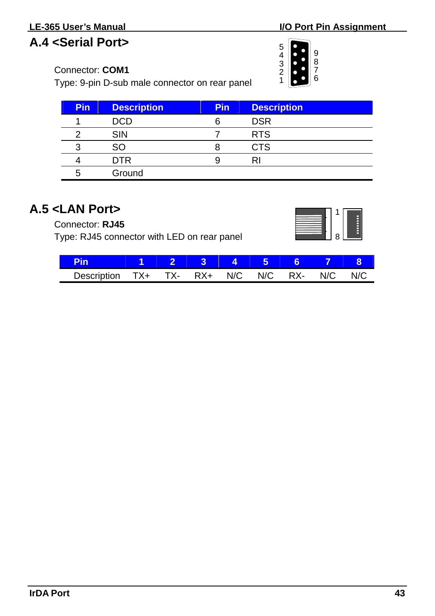### **A.4 <Serial Port>**

#### Connector: **COM1**

Type: 9-pin D-sub male connector on rear panel

| <b>Pin</b> | <b>Description</b> | <b>Pin</b> | <b>Description</b> |  |
|------------|--------------------|------------|--------------------|--|
|            | DCD                |            | <b>DSR</b>         |  |
|            | <b>SIN</b>         |            | <b>RTS</b>         |  |
| 3          | SΟ                 |            | <b>CTS</b>         |  |
|            | <b>DTR</b>         |            | R                  |  |
| 5          | Ground             |            |                    |  |

### **A.5 <LAN Port>**

Connector: **RJ45** 

Type: RJ45 connector with LED on rear panel



|             |     | , , |       |     |     |     |     |     |
|-------------|-----|-----|-------|-----|-----|-----|-----|-----|
| Description | TX+ | TX- | $RX+$ | N/C | N/C | RX- | N/C | N/C |

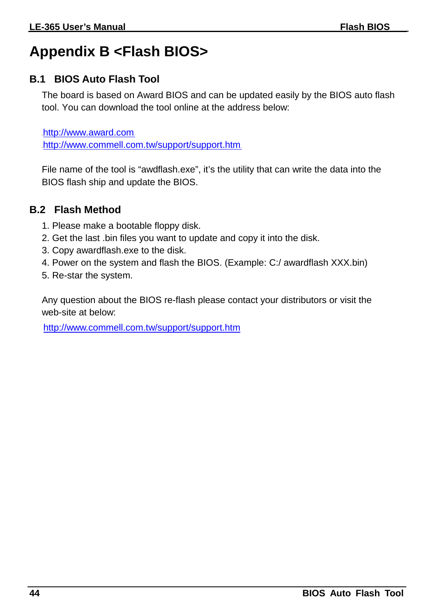### **Appendix B <Flash BIOS>**

#### **B.1 BIOS Auto Flash Tool**

The board is based on Award BIOS and can be updated easily by the BIOS auto flash tool. You can download the tool online at the address below:

.http://www.award.com. .http://www.commell.com.tw/support/support.htm.

File name of the tool is "awdflash.exe", it's the utility that can write the data into the BIOS flash ship and update the BIOS.

#### **B.2 Flash Method**

- 1. Please make a bootable floppy disk.
- 2. Get the last .bin files you want to update and copy it into the disk.
- 3. Copy awardflash.exe to the disk.
- 4. Power on the system and flash the BIOS. (Example: C:/ awardflash XXX.bin)
- 5. Re-star the system.

Any question about the BIOS re-flash please contact your distributors or visit the web-site at below:

http://www.commell.com.tw/support/support.htm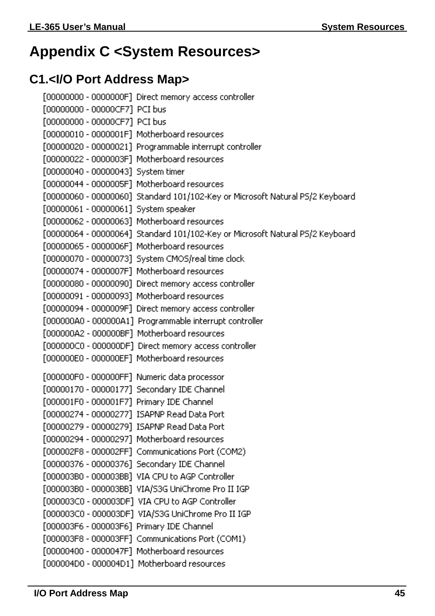### **Appendix C <System Resources>**

### **C1.<I/O Port Address Map>**

|                                              | [00000000 - 0000000F] Direct memory access controller                         |
|----------------------------------------------|-------------------------------------------------------------------------------|
| [00000000 - 00000CF7] PCI bus                |                                                                               |
| [00000000 - 00000CF7] PCI bus                |                                                                               |
| [00000010 - 0000001F] Motherboard resources  |                                                                               |
|                                              | [00000020 - 00000021] Programmable interrupt controller                       |
| [00000022 - 0000003F] Motherboard resources  |                                                                               |
| [00000040 - 00000043] System timer           |                                                                               |
| [00000044 - 0000005F] Motherboard resources  |                                                                               |
|                                              | [00000060 - 00000060] Standard 101/102-Key or Microsoft Natural PS/2 Keyboard |
| [00000061 - 00000061] System speaker         |                                                                               |
| [00000062 - 00000063] Motherboard resources  |                                                                               |
|                                              | [00000064 - 00000064] Standard 101/102-Key or Microsoft Natural PS/2 Keyboard |
| [00000065 - 0000006F] Motherboard resources  |                                                                               |
|                                              | [00000070 - 00000073] System CMOS/real time clock                             |
| [00000074 - 0000007F] Motherboard resources  |                                                                               |
|                                              | [00000080 - 00000090] Direct memory access controller                         |
| [00000091 - 00000093] Motherboard resources  |                                                                               |
|                                              | [00000094 - 0000009F] Direct memory access controller                         |
|                                              | [000000A0 - 000000A1] Programmable interrupt controller                       |
| [000000A2 - 000000BF] Motherboard resources  |                                                                               |
|                                              | [000000C0 - 000000DF] Direct memory access controller                         |
| [000000E0 - 000000EF] Motherboard resources  |                                                                               |
| [000000F0 - 000000FF] Numeric data processor |                                                                               |
| [00000170 - 00000177] Secondary IDE Channel  |                                                                               |
| [000001F0 - 000001F7] Primary IDE Channel    |                                                                               |
| [00000274 - 00000277] ISAPNP Read Data Port  |                                                                               |
| [00000279 - 00000279] ISAPNP Read Data Port  |                                                                               |
| [00000294 - 00000297] Motherboard resources  |                                                                               |
|                                              | [000002F8 - 000002FF] Communications Port (COM2)                              |
| [00000376 - 00000376] Secondary IDE Channel  |                                                                               |
|                                              | [000003B0 - 000003BB] VIA CPU to AGP Controller                               |
|                                              | [000003B0 - 000003BB] VIA/S3G UniChrome Pro II IGP                            |
|                                              | [000003C0 - 000003DF] VIA CPU to AGP Controller                               |
|                                              | [000003C0 - 000003DF] VIA/S3G UniChrome Pro II IGP                            |
| [000003F6 - 000003F6] Primary IDE Channel    |                                                                               |
|                                              | [000003F8 - 000003FF] Communications Port (COM1)                              |
| [00000400 - 0000047F] Motherboard resources  |                                                                               |
| [000004D0 - 000004D1] Motherboard resources  |                                                                               |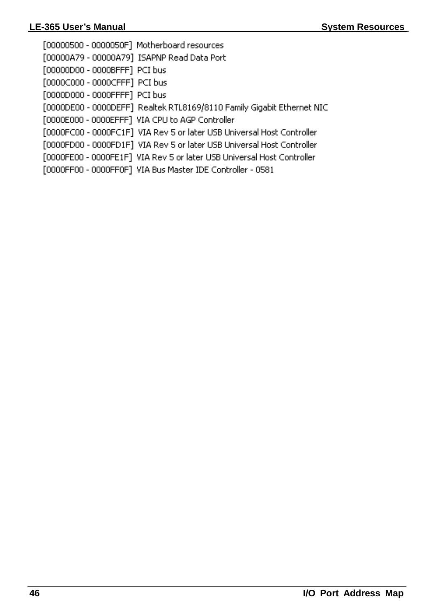| [00000500 - 0000050F] Motherboard resources                |                                                                        |
|------------------------------------------------------------|------------------------------------------------------------------------|
| [00000A79 - 00000A79] ISAPNP Read Data Port                |                                                                        |
| [00000D00 - 0000BFFF] PCI bus                              |                                                                        |
| [0000C000 - 0000CFFF] PCI bus                              |                                                                        |
| [0000D000 - 0000FFFF] PCI bus                              |                                                                        |
|                                                            | [0000DE00 - 0000DEFF] Realtek RTL8169/8110 Family Gigabit Ethernet NIC |
| [0000E000 - 0000EFFF] VIA CPU to AGP Controller            |                                                                        |
|                                                            | [0000FC00 - 0000FC1F] VIA Rev 5 or later USB Universal Host Controller |
|                                                            | [0000FD00 - 0000FD1F] VIA Rev 5 or later USB Universal Host Controller |
|                                                            | [0000FE00 - 0000FE1F] VIA Rev 5 or later USB Universal Host Controller |
| [0000FF00 - 0000FF0F] VIA Bus Master IDE Controller - 0581 |                                                                        |
|                                                            |                                                                        |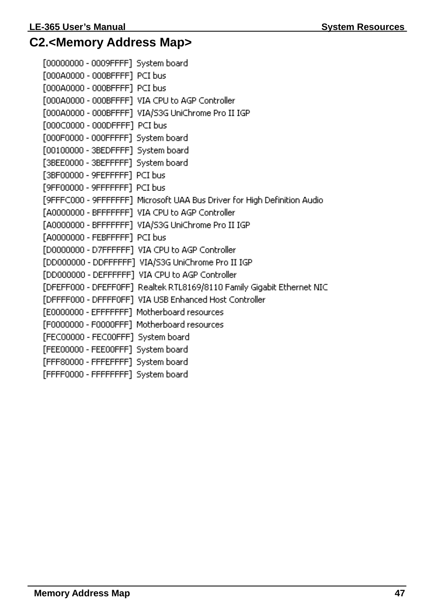### **C2.<Memory Address Map>**

| [00000000 - 0009FFFF] System board                                       |
|--------------------------------------------------------------------------|
| [000A0000 - 000BFFFF] PCI bus                                            |
| [000A0000 - 000BFFFF] PCI bus                                            |
| [000A0000 - 000BFFFF] VIA CPU to AGP Controller                          |
| [000A0000 - 000BFFFF] VIA/S3G UniChrome Pro II IGP                       |
| [000C0000 - 000DFFFF] PCI bus                                            |
| [000F0000 - 000FFFFF] System board                                       |
| [00100000 - 3BEDFFFF] System board                                       |
| [3BEE0000 - 3BEFFFFF] System board                                       |
| [3BF00000 - 9FEFFFFF] PCI bus                                            |
| [9FF00000 - 9FFFFFFF] PCI bus                                            |
| [9FFFC000 - 9FFFFFFF] Microsoft UAA Bus Driver for High Definition Audio |
| [A0000000 - BFFFFFFF] VIA CPU to AGP Controller                          |
| [A0000000 - BFFFFFFF] VIA/S3G UniChrome Pro II IGP                       |
| [A0000000 - FEBFFFFF] PCI bus                                            |
| [D0000000 - D7FFFFFF] VIA CPU to AGP Controller                          |
| [DD000000 - DDFFFFFF] VIA/S3G UniChrome Pro II IGP                       |
| [DD000000 - DEFFFFFF] VIA CPU to AGP Controller                          |
| [DFEFF000 - DFEFF0FF] Realtek RTL8169/8110 Family Gigabit Ethernet NIC   |
| [DFFFF000 - DFFFF0FF] VIA USB Enhanced Host Controller                   |
| [E0000000 - EFFFFFFF] Motherboard resources                              |
| [F0000000 - F0000FFF] Motherboard resources                              |
| [FEC00000 - FEC00FFF] System board                                       |
| [FEE00000 - FEE00FFF] System board                                       |
| [FFF80000 - FFFEFFFF] System board                                       |
| [FFFF0000 - FFFFFFFF] System board                                       |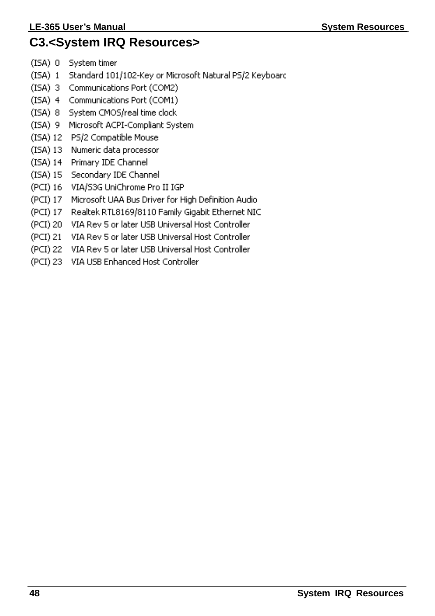### **C3.<System IRQ Resources>**

| (ISA) 0 |  | System timer |  |
|---------|--|--------------|--|
|---------|--|--------------|--|

- $(ISA)$  1 Standard 101/102-Key or Microsoft Natural PS/2 Keyboard
- (ISA) 3 Communications Port (COM2)
- (ISA) 4 Communications Port (COM1)
- (ISA) 8 System CMOS/real time clock
- (ISA) 9 Microsoft ACPI-Compliant System
- (ISA) 12 PS/2 Compatible Mouse
- (ISA) 13 Numeric data processor
- (ISA) 14 Primary IDE Channel
- (ISA) 15 Secondary IDE Channel
- (PCI) 16 VIA/S3G UniChrome Pro II IGP
- (PCI) 17 Microsoft UAA Bus Driver for High Definition Audio
- (PCI) 17 Realtek RTL8169/8110 Family Gigabit Ethernet NIC
- (PCI) 20 VIA Rev 5 or later USB Universal Host Controller
- (PCI) 21 VIA Rev 5 or later USB Universal Host Controller
- (PCI) 22 VIA Rev 5 or later USB Universal Host Controller
- (PCI) 23 VIA USB Enhanced Host Controller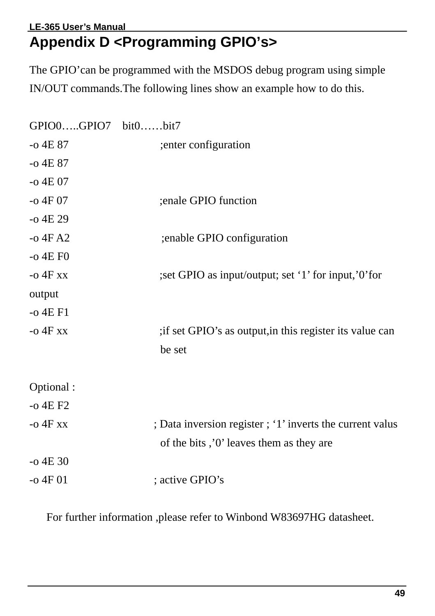### **LE-365 User's Manual Appendix D <Programming GPIO's>**

The GPIO'can be programmed with the MSDOS debug program using simple IN/OUT commands.The following lines show an example how to do this.

| GPIO0GPIO7 bit0bit7    |                                                           |
|------------------------|-----------------------------------------------------------|
| -o 4E 87               | ; enter configuration                                     |
| -o 4E 87               |                                                           |
| -o 4E 07               |                                                           |
| $-0.4F$ 07             | enale GPIO function                                       |
| -o 4E 29               |                                                           |
| $-0$ 4F A2             | ; enable GPIO configuration                               |
| $-0$ 4E FO             |                                                           |
| $-$ o 4 $F$ xx         | ;set GPIO as input/output; set '1' for input, '0' for     |
| output                 |                                                           |
| $-0$ 4E F1             |                                                           |
| $-0$ 4F $xx$           | ; if set GPIO's as output, in this register its value can |
|                        | be set                                                    |
|                        |                                                           |
| Optional:              |                                                           |
| $-0$ 4E F <sub>2</sub> |                                                           |
| $-0.4F$ xx             | ; Data inversion register ; '1' inverts the current valus |
|                        | of the bits, '0' leaves them as they are                  |
| -o 4E 30               |                                                           |
| $-0$ 4F 01             | ; active GPIO's                                           |

For further information ,please refer to Winbond W83697HG datasheet.